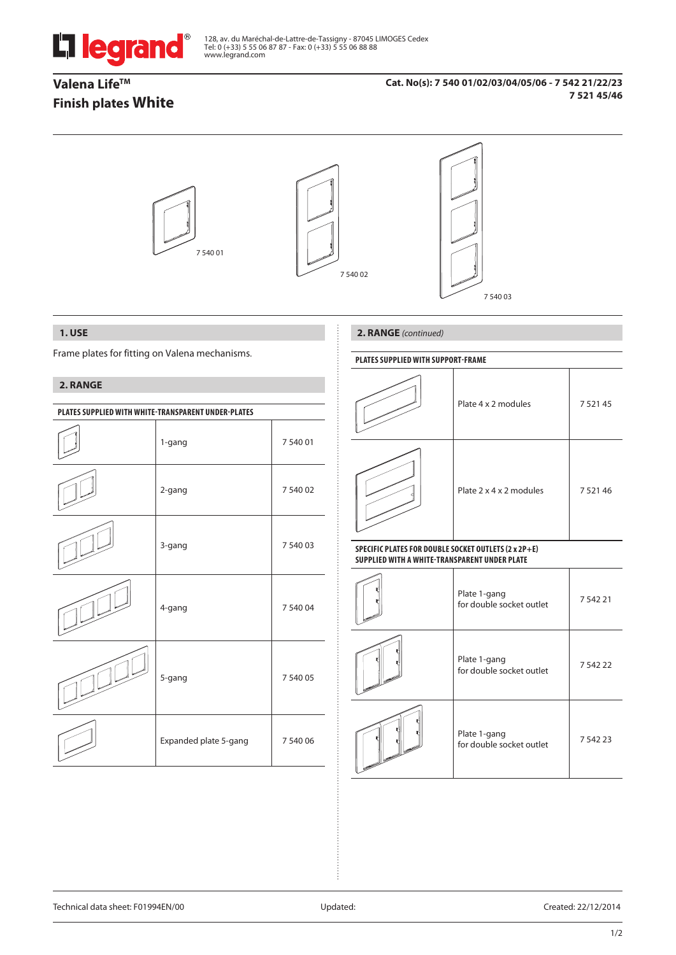

128, av. du Maréchal-de-Lattre-de-Tassigny - 87045 LIMOGES Cedex Tel: 0 (+33) 5 55 06 87 87 - Fax: 0 (+33) 5 55 06 88 88 www.legrand.com

# **Valena Life™ Finish plates White**

## **Cat. No(s): 7 540 01/02/03/04/05/06 - 7 542 21/22/23 7 521 45/46**



# **1. USE**

Frame plates for fitting on Valena mechanisms.

## **2. RANGE**

| PLATES SUPPLIED WITH WHITE-TRANSPARENT UNDER-PLATES |                       |          |  |  |  |  |
|-----------------------------------------------------|-----------------------|----------|--|--|--|--|
|                                                     | 1-gang                | 7 540 01 |  |  |  |  |
|                                                     | 2-gang                | 7 540 02 |  |  |  |  |
|                                                     | 3-gang                | 7 540 03 |  |  |  |  |
|                                                     | 4-gang                | 7 540 04 |  |  |  |  |
|                                                     | 5-gang                | 7 540 05 |  |  |  |  |
|                                                     | Expanded plate 5-gang | 7 540 06 |  |  |  |  |

## **2. RANGE** *(continued)*

## **PlaTES SUPPLIED WITH SUPPORT-FRAME**

| Plate 4 x 2 modules     | 7 5 2 1 4 5 |
|-------------------------|-------------|
| Plate 2 x 4 x 2 modules | 7 5 2 1 4 6 |

### **SPECIFIC PLATES FOR DOUBLE SOCKET OUTLETS (2 x 2P+E) SUPPLIED WITH A WHITE-TRANSPARENT UNDER PLATE**

| Plate 1-gang<br>for double socket outlet | 754221      |
|------------------------------------------|-------------|
| Plate 1-gang<br>for double socket outlet | 7 542 22    |
| Plate 1-gang<br>for double socket outlet | 7 5 4 2 2 3 |